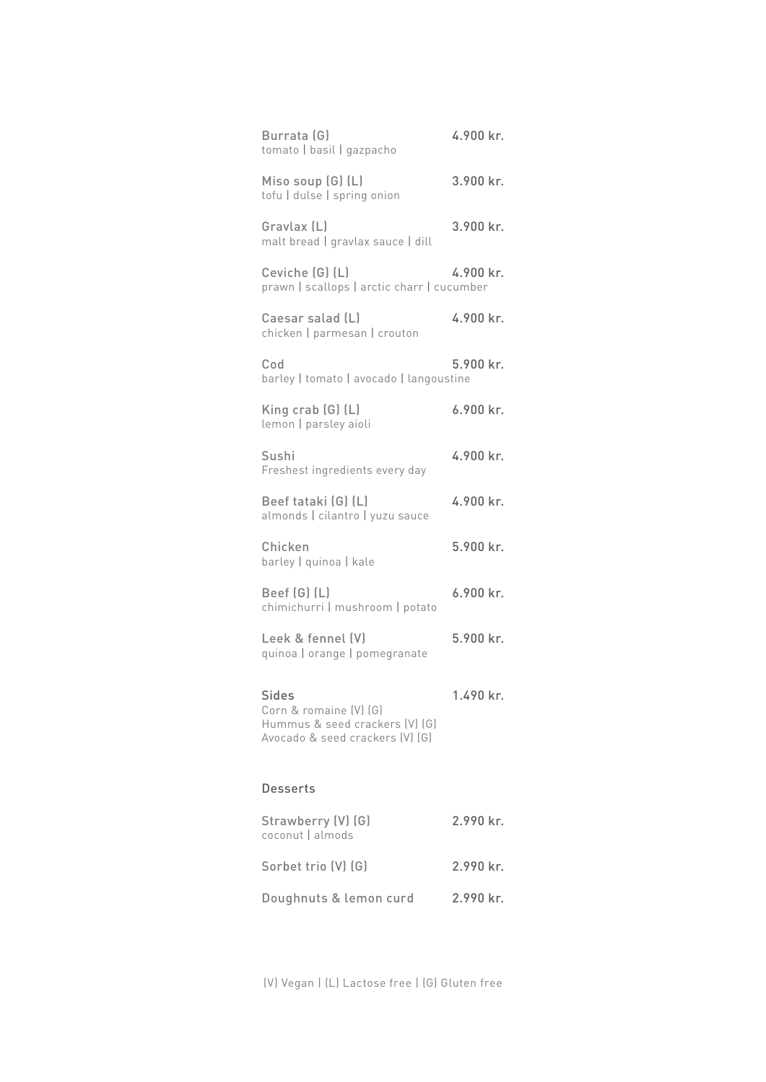| Burrata (G)<br>tomato   basil   gazpacho                                                                    | 4.900 kr. |
|-------------------------------------------------------------------------------------------------------------|-----------|
| Miso soup (G) (L)<br>tofu   dulse   spring onion                                                            | 3.900 kr. |
| Gravlax (L)<br>malt bread   gravlax sauce   dill                                                            | 3.900 kr. |
| Ceviche [G] (L)<br>prawn   scallops   arctic charr   cucumber                                               | 4.900 kr. |
| Caesar salad (L)<br>chicken   parmesan   crouton                                                            | 4.900 kr. |
| Cod<br>barley   tomato   avocado   langoustine                                                              | 5.900 kr. |
| King $crab(G)$ (L)<br>lemon   parsley aioli                                                                 | 6.900 kr. |
| Sushi<br>Freshest ingredients every day                                                                     | 4.900 kr. |
| Beef tataki (G) (L)<br>almonds   cilantro   yuzu sauce                                                      | 4.900 kr. |
| Chicken<br>barley   quinoa   kale                                                                           | 5.900 kr. |
| Beef (G) (L)<br>chimichurri   mushroom   potato                                                             | 6.900 kr. |
| Leek & fennel (V)<br>quinoa   orange   pomegranate                                                          | 5.900 kr. |
| <b>Sides</b><br>Corn & romaine (V) (G)<br>Hummus & seed crackers (V) (G)<br>Avocado & seed crackers (V) (G) | 1.490 kr. |
| <b>Desserts</b>                                                                                             |           |
| Strawberry (V) (G)<br>coconut   almods                                                                      | 2.990 kr. |
| Sorbet trio (V) (G)                                                                                         | 2.990 kr. |
| Doughnuts & lemon curd                                                                                      | 2.990 kr. |

(V) Vegan | (L) Lactose free | (G) Gluten free